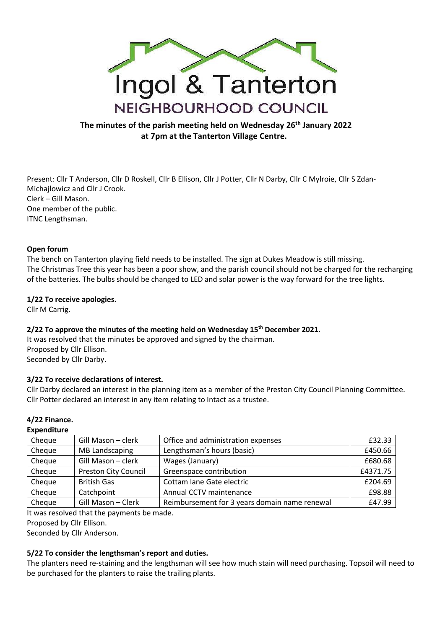

# **The minutes of the parish meeting held on Wednesday 26th January 2022 at 7pm at the Tanterton Village Centre.**

Present: Cllr T Anderson, Cllr D Roskell, Cllr B Ellison, Cllr J Potter, Cllr N Darby, Cllr C Mylroie, Cllr S Zdan-Michajlowicz and Cllr J Crook. Clerk – Gill Mason. One member of the public. ITNC Lengthsman.

#### **Open forum**

The bench on Tanterton playing field needs to be installed. The sign at Dukes Meadow is still missing. The Christmas Tree this year has been a poor show, and the parish council should not be charged for the recharging of the batteries. The bulbs should be changed to LED and solar power is the way forward for the tree lights.

#### **1/22 To receive apologies.**

Cllr M Carrig.

#### **2/22 To approve the minutes of the meeting held on Wednesday 15th December 2021.**

It was resolved that the minutes be approved and signed by the chairman. Proposed by Cllr Ellison. Seconded by Cllr Darby.

#### **3/22 To receive declarations of interest.**

Cllr Darby declared an interest in the planning item as a member of the Preston City Council Planning Committee. Cllr Potter declared an interest in any item relating to Intact as a trustee.

### **4/22 Finance.**

#### **Expenditure**

| Cheque | Gill Mason - clerk          | Office and administration expenses            | £32.33   |
|--------|-----------------------------|-----------------------------------------------|----------|
| Cheque | <b>MB Landscaping</b>       | Lengthsman's hours (basic)                    | £450.66  |
| Cheque | Gill Mason - clerk          | Wages (January)                               | £680.68  |
| Cheque | <b>Preston City Council</b> | Greenspace contribution                       | £4371.75 |
| Cheque | <b>British Gas</b>          | Cottam lane Gate electric                     | £204.69  |
| Cheque | Catchpoint                  | Annual CCTV maintenance                       | £98.88   |
| Cheque | Gill Mason - Clerk          | Reimbursement for 3 years domain name renewal | £47.99   |

It was resolved that the payments be made.

Proposed by Cllr Ellison.

Seconded by Cllr Anderson.

#### **5/22 To consider the lengthsman's report and duties.**

The planters need re-staining and the lengthsman will see how much stain will need purchasing. Topsoil will need to be purchased for the planters to raise the trailing plants.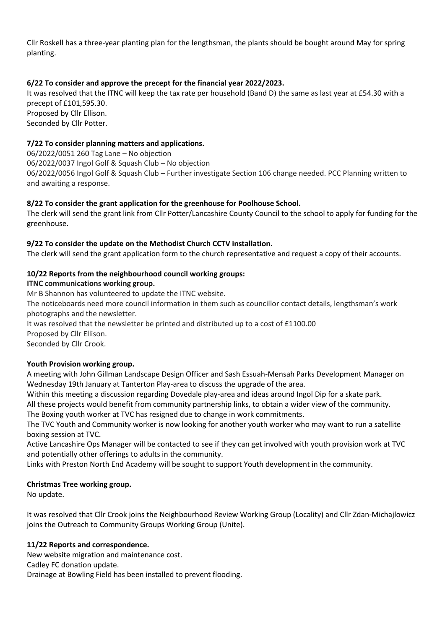Cllr Roskell has a three-year planting plan for the lengthsman, the plants should be bought around May for spring planting.

## **6/22 To consider and approve the precept for the financial year 2022/2023.**

It was resolved that the ITNC will keep the tax rate per household (Band D) the same as last year at £54.30 with a precept of £101,595.30. Proposed by Cllr Ellison. Seconded by Cllr Potter.

**7/22 To consider planning matters and applications.**

06/2022/0051 260 Tag Lane – No objection 06/2022/0037 Ingol Golf & Squash Club – No objection 06/2022/0056 Ingol Golf & Squash Club – Further investigate Section 106 change needed. PCC Planning written to and awaiting a response.

### **8/22 To consider the grant application for the greenhouse for Poolhouse School.**

The clerk will send the grant link from Cllr Potter/Lancashire County Council to the school to apply for funding for the greenhouse.

# **9/22 To consider the update on the Methodist Church CCTV installation.**

The clerk will send the grant application form to the church representative and request a copy of their accounts.

# **10/22 Reports from the neighbourhood council working groups:**

### **ITNC communications working group.**

Mr B Shannon has volunteered to update the ITNC website.

The noticeboards need more council information in them such as councillor contact details, lengthsman's work photographs and the newsletter.

It was resolved that the newsletter be printed and distributed up to a cost of £1100.00

Proposed by Cllr Ellison.

Seconded by Cllr Crook.

### **Youth Provision working group.**

A meeting with John Gillman Landscape Design Officer and Sash Essuah-Mensah Parks Development Manager on Wednesday 19th January at Tanterton Play-area to discuss the upgrade of the area.

Within this meeting a discussion regarding Dovedale play-area and ideas around Ingol Dip for a skate park.

All these projects would benefit from community partnership links, to obtain a wider view of the community. The Boxing youth worker at TVC has resigned due to change in work commitments.

The TVC Youth and Community worker is now looking for another youth worker who may want to run a satellite boxing session at TVC.

Active Lancashire Ops Manager will be contacted to see if they can get involved with youth provision work at TVC and potentially other offerings to adults in the community.

Links with Preston North End Academy will be sought to support Youth development in the community.

### **Christmas Tree working group.**

No update.

It was resolved that Cllr Crook joins the Neighbourhood Review Working Group (Locality) and Cllr Zdan-Michajlowicz joins the Outreach to Community Groups Working Group (Unite).

### **11/22 Reports and correspondence.**

New website migration and maintenance cost. Cadley FC donation update. Drainage at Bowling Field has been installed to prevent flooding.